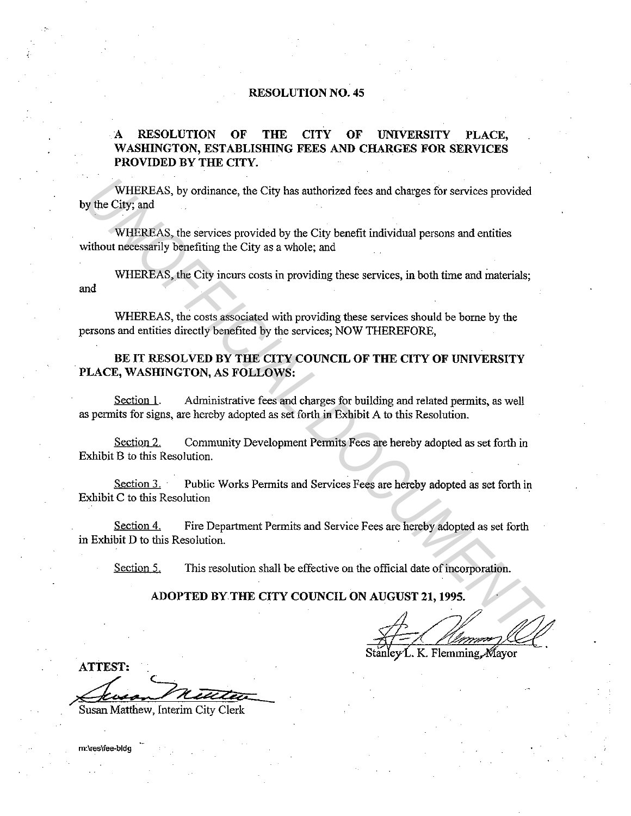### **RESOLUTION NO. 45**

# **A RESOLUTION OF THE CITY OF UNIVERSITY PLACE, WASHINGTON, ESTABLISHING FEES AND CHARGES FOR SERVICES PROVIDED BY THE CITY.**

WHEREAS, by ordinance, the City has authorized fees and charges for services provided by the City; and WHEREAS, by ordinance, the City has authorized fees and charges for services provided<br>
WHEREAS, the services provided by the City benefit individual persons and entities<br>
wHEREAS, the services provided by the City benefit

WHEREAS, the services provided by the City benefit individual persons and entities without necessarily benefiting the City as a whole; and

WHEREAS, the City incurs costs in providing these services, in both time and materials; and

WHEREAS, the costs associated with providing these services should be borne by the persons and entities directly benefited by the services; NOW THEREFORE,

# **BE IT RESOLVED BY THE CITY COUNCIL OF THE CITY OF UNIVERSITY PLACE, WASHINGTON, AS FOLLOWS:**

Section I. Administrative fees and charges for building and related permits, as well as permits for signs, are hereby adopted as set forth in Exhibit A to this Resolution.

Section 2. Community Development Permits Fees are hereby adopted as set forth in Exhibit B to this Resolution.

Section 3. • Public Works Permits and Services Fees are hereby adopted as set forth in Exhibit C to this Resolution

Section 4. Fire Department Permits and Service Fees are hereby adopted as set forth in Exhibit D to this Resolution.

Section 5. This resolution shall be effective on the official date of incorporation.

# **ADOPTED BY THE CITY COUNCIL ON AUGUST 21, 1995.**

K. Flemming Mavor

**ATTEST:** 

Susan Matthew, Interim City Clerk

m:\res\fee-bldg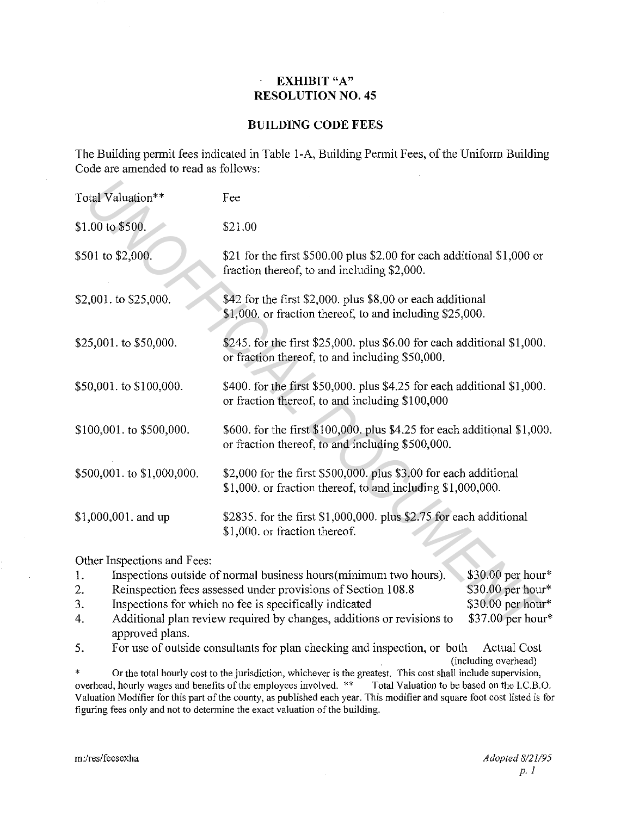### **EXHIBIT** "A"  $\hat{\boldsymbol{\beta}}$ **RESOLUTION NO. 45**

# **BUILDING CODE FEES**

The Building permit fees indicated in Table I-A, Building Permit Fees, of the Uniform Building Code are amended to read as follows:

| Total Valuation**           | Fee                                                                                                                             |                   |  |
|-----------------------------|---------------------------------------------------------------------------------------------------------------------------------|-------------------|--|
| \$1.00 to \$500.            | \$21.00                                                                                                                         |                   |  |
| \$501 to \$2,000.           | \$21 for the first \$500.00 plus \$2.00 for each additional \$1,000 or<br>fraction thereof, to and including \$2,000.           |                   |  |
| \$2,001. to \$25,000.       | \$42 for the first \$2,000. plus \$8.00 or each additional<br>\$1,000. or fraction thereof, to and including \$25,000.          |                   |  |
| \$25,001. to \$50,000.      | \$245. for the first \$25,000. plus \$6.00 for each additional \$1,000.<br>or fraction thereof, to and including \$50,000.      |                   |  |
| \$50,001. to \$100,000.     | \$400. for the first \$50,000. plus \$4.25 for each additional \$1,000.<br>or fraction thereof, to and including \$100,000      |                   |  |
| \$100,001. to \$500,000.    | \$600. for the first \$100,000. plus \$4.25 for each additional \$1,000.<br>or fraction thereof, to and including \$500,000.    |                   |  |
| \$500,001. to \$1,000,000.  | \$2,000 for the first \$500,000. plus \$3.00 for each additional<br>\$1,000. or fraction thereof, to and including \$1,000,000. |                   |  |
| \$1,000,001. and up         | \$2835. for the first \$1,000,000. plus \$2.75 for each additional<br>\$1,000. or fraction thereof.                             |                   |  |
| Other Inspections and Fees: |                                                                                                                                 |                   |  |
| 1.                          | Inspections outside of normal business hours (minimum two hours).                                                               | \$30.00 per hour* |  |
| 2.                          | Reinspection fees assessed under provisions of Section 108.8                                                                    | \$30.00 per hour* |  |
| 3.                          | Inspections for which no fee is specifically indicated                                                                          | \$30.00 per hour* |  |
| 4.<br>annroved plans.       | Additional plan review required by changes, additions or revisions to                                                           | \$37.00 per hour* |  |

| 1. | Inspections outside of normal business hours (minimum two hours).     | $$30.00$ per hour* |
|----|-----------------------------------------------------------------------|--------------------|
| 2. | Reinspection fees assessed under provisions of Section 108.8          | $$30.00$ per hour* |
| 3. | Inspections for which no fee is specifically indicated                | $$30.00$ per hour* |
| 4. | Additional plan review required by changes, additions or revisions to | $$37.00$ per hour* |
|    | approved plans.                                                       |                    |

5. For use of outside consultants for plan checking and inspection, or both Actual Cost (including overhead)

\* Or the total hourly cost to the jurisdiction, whichever is the greatest. This cost shall include supervision, overhead, hourly wages and benefits of the employees involved. \*\* Total Valuation to be based on the I.C.B.O. overhead, hourly wages and benefits of the employees involved. \*\* Valuation Modifier for this part of the county, as published each year. This modifier and square foot cost listed is for figuring fees only and not to determine the exact valuation of the building.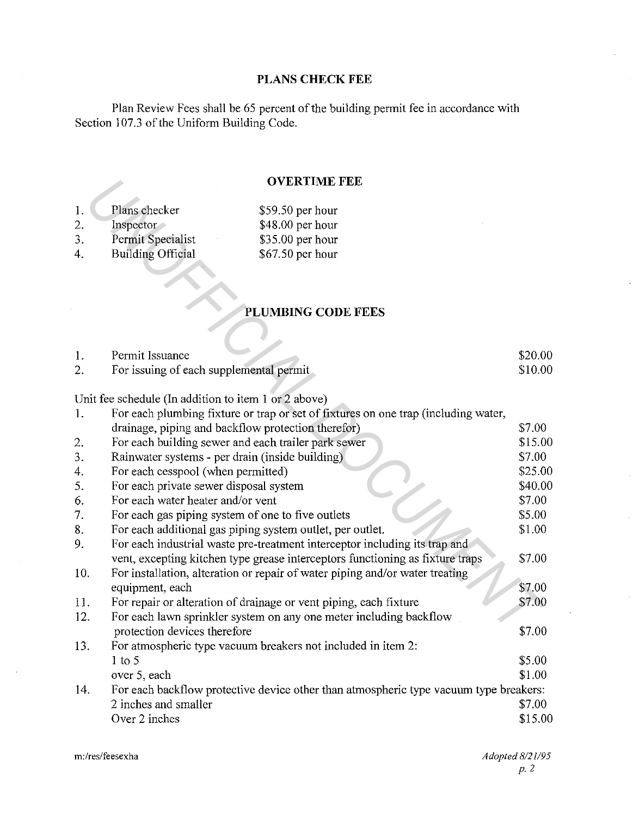# **PLANS CHECK FEE**

Plan Review Fees shall be 65 percent of the building permit fee in accordance with Section 107.3 of the Uniform Building Code.

# **OVERTIME FEE**

| $\mathbf{1}$ . | Plans checker            | $$59.50$ per hour |
|----------------|--------------------------|-------------------|
| 2.             | Inspector                | $$48.00$ per hour |
| 3.             | Permit Specialist        | $$35.00$ per hour |
| 4.             | <b>Building Official</b> | $$67.50$ per hour |

# PLUMBING CODE FEES

| Permit Issuance                         | \$20.00 |
|-----------------------------------------|---------|
| For issuing of each supplemental permit | \$10.00 |

|                |                                                      | <b>OVERTIME FEE</b>                                                                   |         |
|----------------|------------------------------------------------------|---------------------------------------------------------------------------------------|---------|
| 1.             | Plans checker                                        | \$59.50 per hour                                                                      |         |
| 2.             | Inspector                                            | \$48.00 per hour                                                                      |         |
| 3.             | Permit Specialist                                    | \$35.00 per hour                                                                      |         |
| 4.             | <b>Building Official</b>                             | \$67.50 per hour                                                                      |         |
|                |                                                      |                                                                                       |         |
|                |                                                      | PLUMBING CODE FEES                                                                    |         |
|                |                                                      |                                                                                       |         |
|                |                                                      |                                                                                       |         |
| 1.             | Permit Issuance                                      |                                                                                       | \$20.00 |
| $\mathbf{2}$ . | For issuing of each supplemental permit              |                                                                                       | \$10.00 |
|                |                                                      |                                                                                       |         |
|                | Unit fee schedule (In addition to item 1 or 2 above) |                                                                                       |         |
| 1.             |                                                      | For each plumbing fixture or trap or set of fixtures on one trap (including water,    |         |
|                |                                                      | drainage, piping and backflow protection therefor)                                    | \$7.00  |
| 2.             |                                                      | For each building sewer and each trailer park sewer                                   | \$15.00 |
| 3.             |                                                      | Rainwater systems - per drain (inside building)                                       | \$7.00  |
| 4.             | For each cesspool (when permitted)                   |                                                                                       | \$25.00 |
| 5.             | For each private sewer disposal system               |                                                                                       | \$40.00 |
| 6.             | For each water heater and/or vent                    |                                                                                       | \$7.00  |
| 7.             |                                                      | For each gas piping system of one to five outlets                                     | \$5.00  |
| 8.             |                                                      | For each additional gas piping system outlet, per outlet.                             | \$1.00  |
| 9.             |                                                      | For each industrial waste pre-treatment interceptor including its trap and            |         |
|                |                                                      | vent, excepting kitchen type grease interceptors functioning as fixture traps         | \$7.00  |
| 10.            |                                                      | For installation, alteration or repair of water piping and/or water treating          | \$7.00  |
|                | equipment, each                                      |                                                                                       |         |
| 11.<br>12.     |                                                      | For repair or alteration of drainage or vent piping, each fixture                     | \$7.00  |
|                | protection devices therefore                         | For each lawn sprinkler system on any one meter including backflow                    | \$7.00  |
| 13.            |                                                      | For atmospheric type vacuum breakers not included in item 2:                          |         |
|                | $1$ to 5                                             |                                                                                       | \$5.00  |
|                | over 5, each                                         |                                                                                       | \$1.00  |
| 14.            |                                                      | For each backflow protective device other than atmospheric type vacuum type breakers: |         |
|                | 2 inches and smaller                                 |                                                                                       | \$7.00  |
|                | Over 2 inches                                        |                                                                                       | \$15.00 |
|                |                                                      |                                                                                       |         |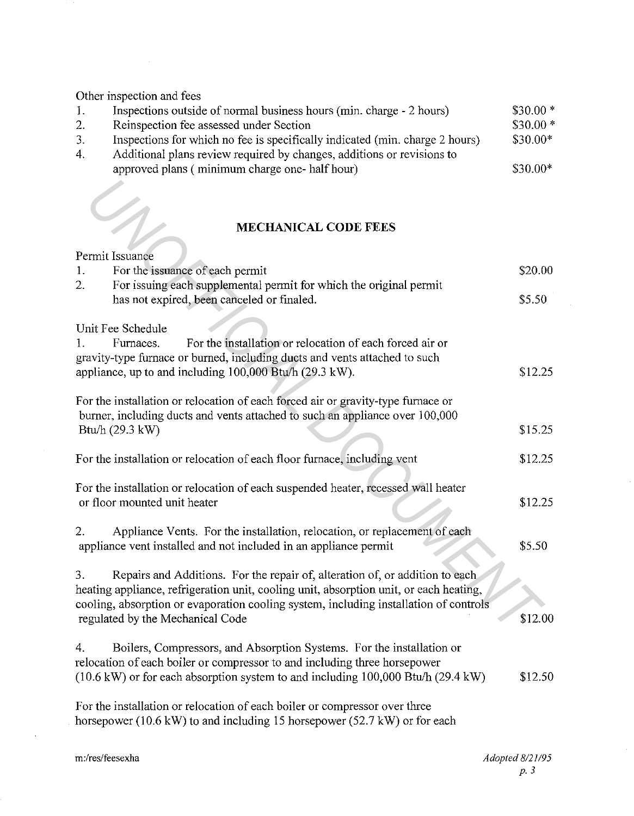Other inspection and fees

| Ι. | Inspections outside of normal business hours (min. charge - 2 hours)         | $$30.00*$ |
|----|------------------------------------------------------------------------------|-----------|
| 2. | Reinspection fee assessed under Section                                      | $$30.00*$ |
| 3. | Inspections for which no fee is specifically indicated (min. charge 2 hours) | $$30.00*$ |
| 4. | Additional plans review required by changes, additions or revisions to       |           |
|    | approved plans (minimum charge one-half hour)                                | $$30.00*$ |
|    |                                                                              |           |

# **MECHANICAL CODE FEES**

|                  | <b>MECHANICAL CODE FEES</b>                                                                                                                                            |         |
|------------------|------------------------------------------------------------------------------------------------------------------------------------------------------------------------|---------|
|                  | Permit Issuance                                                                                                                                                        |         |
| 1.               | For the issuance of each permit                                                                                                                                        | \$20.00 |
| $\overline{2}$ . | For issuing each supplemental permit for which the original permit<br>has not expired, been canceled or finaled.                                                       | \$5.50  |
|                  | Unit Fee Schedule                                                                                                                                                      |         |
| 1.               | For the installation or relocation of each forced air or<br>Furnaces.                                                                                                  |         |
|                  | gravity-type furnace or burned, including ducts and vents attached to such<br>appliance, up to and including 100,000 Btu/h (29.3 kW).                                  | \$12.25 |
|                  |                                                                                                                                                                        |         |
|                  | For the installation or relocation of each forced air or gravity-type furnace or                                                                                       |         |
|                  | burner, including ducts and vents attached to such an appliance over 100,000                                                                                           |         |
|                  | Btu/h (29.3 kW)                                                                                                                                                        | \$15.25 |
|                  | For the installation or relocation of each floor furnace, including vent                                                                                               | \$12.25 |
|                  | For the installation or relocation of each suspended heater, recessed wall heater                                                                                      |         |
|                  | or floor mounted unit heater                                                                                                                                           | \$12.25 |
| 2.               | Appliance Vents. For the installation, relocation, or replacement of each                                                                                              |         |
|                  | appliance vent installed and not included in an appliance permit                                                                                                       | \$5.50  |
|                  |                                                                                                                                                                        |         |
| 3.               | Repairs and Additions. For the repair of, alteration of, or addition to each<br>heating appliance, refrigeration unit, cooling unit, absorption unit, or each heating, |         |
|                  | cooling, absorption or evaporation cooling system, including installation of controls                                                                                  |         |
|                  | regulated by the Mechanical Code                                                                                                                                       | \$12.00 |
| 4.               | Boilers, Compressors, and Absorption Systems. For the installation or                                                                                                  |         |
|                  | relocation of each boiler or compressor to and including three horsepower                                                                                              |         |
|                  | (10.6 kW) or for each absorption system to and including 100,000 Btu/h (29.4 kW)                                                                                       | \$12.50 |
|                  | For the installation or relocation of each boiler or compressor over three                                                                                             |         |
|                  | horsepower (10.6 kW) to and including 15 horsepower (52.7 kW) or for each                                                                                              |         |

 $\sim$ 

 $\bar{\beta}$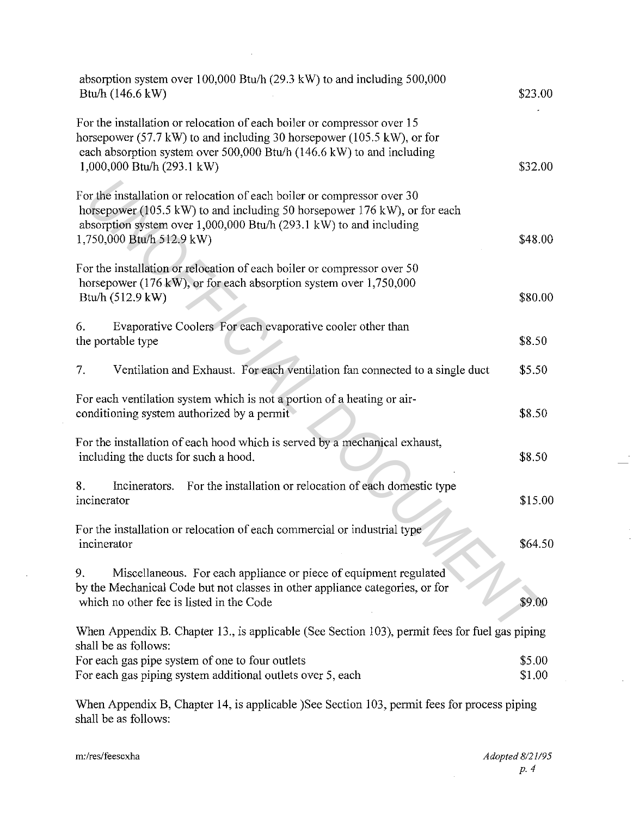| absorption system over $100,000$ Btu/h (29.3 kW) to and including 500,000<br>Btu/h (146.6 kW)                                                                                                                                                            | \$23.00          |
|----------------------------------------------------------------------------------------------------------------------------------------------------------------------------------------------------------------------------------------------------------|------------------|
| For the installation or relocation of each boiler or compressor over 15<br>horsepower (57.7 kW) to and including 30 horsepower (105.5 kW), or for<br>each absorption system over 500,000 Btu/h (146.6 kW) to and including<br>1,000,000 Btu/h (293.1 kW) | \$32.00          |
| For the installation or relocation of each boiler or compressor over 30<br>horsepower (105.5 kW) to and including 50 horsepower 176 kW), or for each<br>absorption system over 1,000,000 Btu/h (293.1 kW) to and including<br>1,750,000 Btu/h 512.9 kW)  | \$48.00          |
| For the installation or relocation of each boiler or compressor over 50<br>horsepower (176 kW), or for each absorption system over 1,750,000<br>Btu/h (512.9 kW)                                                                                         | \$80.00          |
| Evaporative Coolers For each evaporative cooler other than<br>6.<br>the portable type                                                                                                                                                                    | \$8.50           |
| Ventilation and Exhaust. For each ventilation fan connected to a single duct<br>7.                                                                                                                                                                       | \$5.50           |
| For each ventilation system which is not a portion of a heating or air-<br>conditioning system authorized by a permit                                                                                                                                    | \$8.50           |
| For the installation of each hood which is served by a mechanical exhaust,<br>including the ducts for such a hood.                                                                                                                                       | \$8.50           |
| 8.<br>Incinerators. For the installation or relocation of each domestic type<br>incinerator                                                                                                                                                              | \$15.00          |
| For the installation or relocation of each commercial or industrial type<br>incinerator                                                                                                                                                                  | \$64.50          |
| 9.<br>Miscellaneous. For each appliance or piece of equipment regulated<br>by the Mechanical Code but not classes in other appliance categories, or for<br>which no other fee is listed in the Code                                                      | \$9.00           |
| When Appendix B. Chapter 13., is applicable (See Section 103), permit fees for fuel gas piping                                                                                                                                                           |                  |
| shall be as follows:<br>For each gas pipe system of one to four outlets<br>For each gas piping system additional outlets over 5, each                                                                                                                    | \$5.00<br>\$1.00 |
| When Appendix B, Chapter 14, is applicable )See Section 103, permit fees for process piping                                                                                                                                                              |                  |

 $\bar{z}$ 

shall be as follows:

 $\sim 10^7$ 

 $\alpha$  .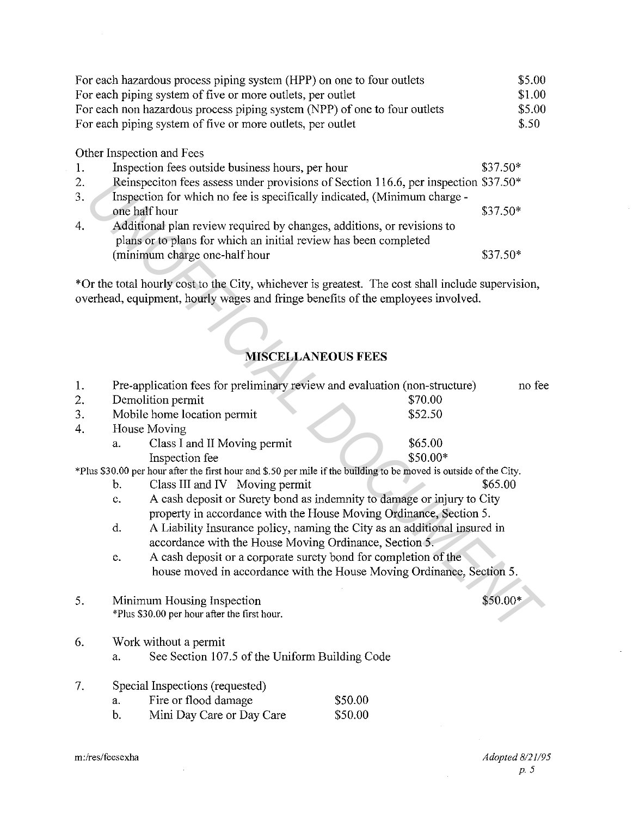|     | For each hazardous process piping system (HPP) on one to four outlets               | \$5.00    |
|-----|-------------------------------------------------------------------------------------|-----------|
|     | For each piping system of five or more outlets, per outlet                          | \$1.00    |
|     | For each non hazardous process piping system (NPP) of one to four outlets           | \$5.00    |
|     | For each piping system of five or more outlets, per outlet                          | \$.50     |
|     | Other Inspection and Fees                                                           |           |
| -1. | Inspection fees outside business hours, per hour                                    | $$37.50*$ |
| 2.  | Reinspeciton fees assess under provisions of Section 116.6, per inspection \$37.50* |           |
| 3.  | Inspection for which no fee is specifically indicated, (Minimum charge -            |           |
|     | one half hour                                                                       | $$37.50*$ |
| 4.  | Additional plan review required by changes, additions, or revisions to              |           |
|     | plans or to plans for which an initial review has been completed                    |           |
|     | (minimum charge one-half hour                                                       | $$37.50*$ |

# **MISCELLANEOUS FEES**

| 2. | Reinspeciton fees assess under provisions of Section 116.6, per inspection $$37.50*$                               |                                                                           |           |
|----|--------------------------------------------------------------------------------------------------------------------|---------------------------------------------------------------------------|-----------|
| 3. | Inspection for which no fee is specifically indicated, (Minimum charge -<br>one half hour                          |                                                                           |           |
| 4. | Additional plan review required by changes, additions, or revisions to                                             |                                                                           |           |
|    | plans or to plans for which an initial review has been completed                                                   |                                                                           |           |
|    | (minimum charge one-half hour                                                                                      |                                                                           | $$37.50*$ |
|    |                                                                                                                    |                                                                           |           |
|    | *Or the total hourly cost to the City, whichever is greatest. The cost shall include supervision,                  |                                                                           |           |
|    | overhead, equipment, hourly wages and fringe benefits of the employees involved.                                   |                                                                           |           |
|    |                                                                                                                    |                                                                           |           |
|    |                                                                                                                    |                                                                           |           |
|    |                                                                                                                    |                                                                           |           |
|    |                                                                                                                    | <b>MISCELLANEOUS FEES</b>                                                 |           |
| 1. | Pre-application fees for preliminary review and evaluation (non-structure)                                         |                                                                           | no fee    |
| 2. | Demolition permit                                                                                                  | \$70.00                                                                   |           |
| 3. | Mobile home location permit                                                                                        | \$52.50                                                                   |           |
| 4. | House Moving                                                                                                       |                                                                           |           |
|    | Class I and II Moving permit<br>a.                                                                                 | \$65.00                                                                   |           |
|    | Inspection fee                                                                                                     | \$50.00*                                                                  |           |
|    | *Plus \$30.00 per hour after the first hour and \$.50 per mile if the building to be moved is outside of the City. |                                                                           | \$65.00   |
|    | Class III and IV Moving permit<br>b.<br>c.                                                                         | A cash deposit or Surety bond as indemnity to damage or injury to City    |           |
|    |                                                                                                                    | property in accordance with the House Moving Ordinance, Section 5.        |           |
|    | d.                                                                                                                 | A Liability Insurance policy, naming the City as an additional insured in |           |
|    | accordance with the House Moving Ordinance, Section 5.                                                             |                                                                           |           |
|    | e.                                                                                                                 | A cash deposit or a corporate surety bond for completion of the           |           |
|    |                                                                                                                    | house moved in accordance with the House Moving Ordinance, Section 5.     |           |
|    |                                                                                                                    |                                                                           |           |
| 5. | Minimum Housing Inspection                                                                                         |                                                                           | \$50.00*  |
|    | *Plus \$30.00 per hour after the first hour.                                                                       |                                                                           |           |
| 6. | Work without a permit                                                                                              |                                                                           |           |
|    | See Section 107.5 of the Uniform Building Code<br>a.                                                               |                                                                           |           |
|    |                                                                                                                    |                                                                           |           |
| 7. | Special Inspections (requested)                                                                                    |                                                                           |           |
|    | Fire or flood damage<br>a.                                                                                         | \$50.00                                                                   |           |
|    | b.<br>Mini Day Care or Day Care                                                                                    | \$50.00                                                                   |           |
|    |                                                                                                                    |                                                                           |           |

i.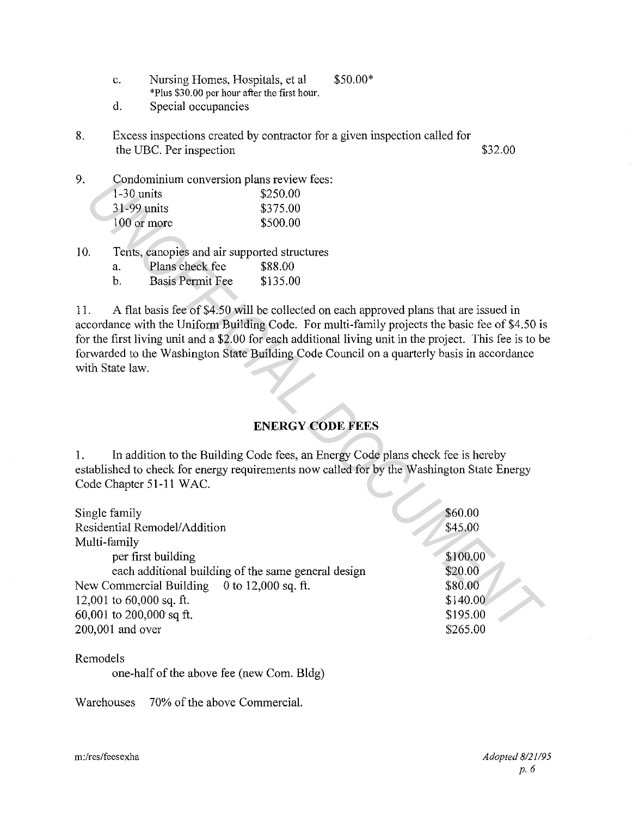| c. | Nursing Homes, Hospitals, et al.             | $$50.00*$ |
|----|----------------------------------------------|-----------|
|    | *Plus \$30.00 per hour after the first hour. |           |

d. Special occupancies

- 8. Excess inspections created by contractor for a given inspection called for the UBC. Per inspection  $$32.00$
- 9. Condominium conversion plans review fees: 1-30 units \$250.00 31-99 units \$375.00 100 or more \$500.00

| 10. |    | Tents, canopies and air supported structures |          |
|-----|----|----------------------------------------------|----------|
|     | а. | Plans check fee                              | \$88.00  |
|     |    | <b>Basis Permit Fee</b>                      | \$135.00 |

# **ENERGY CODE FEES**

| У.  | Condominium conversion plans review tees:           |                                                                                            |                                                                                                         |
|-----|-----------------------------------------------------|--------------------------------------------------------------------------------------------|---------------------------------------------------------------------------------------------------------|
|     | $1-30$ units                                        | \$250.00                                                                                   |                                                                                                         |
|     | 31-99 units                                         | \$375.00                                                                                   |                                                                                                         |
|     | 100 or more                                         | \$500.00                                                                                   |                                                                                                         |
|     |                                                     |                                                                                            |                                                                                                         |
| 10. | Tents, canopies and air supported structures        |                                                                                            |                                                                                                         |
|     | Plans check fee<br>a.                               | \$88.00                                                                                    |                                                                                                         |
|     | <b>Basis Permit Fee</b><br>$\mathbf b$ .            | \$135.00                                                                                   |                                                                                                         |
| 11. |                                                     | A flat basis fee of \$4.50 will be collected on each approved plans that are issued in     |                                                                                                         |
|     |                                                     |                                                                                            | accordance with the Uniform Building Code. For multi-family projects the basic fee of \$4.50 is         |
|     |                                                     |                                                                                            | for the first living unit and a \$2.00 for each additional living unit in the project. This fee is to b |
|     |                                                     | forwarded to the Washington State Building Code Council on a quarterly basis in accordance |                                                                                                         |
|     | with State law.                                     |                                                                                            |                                                                                                         |
|     |                                                     |                                                                                            |                                                                                                         |
|     |                                                     |                                                                                            |                                                                                                         |
|     |                                                     |                                                                                            |                                                                                                         |
|     |                                                     | <b>ENERGY CODE FEES</b>                                                                    |                                                                                                         |
| 1.  |                                                     | In addition to the Building Code fees, an Energy Code plans check fee is hereby            |                                                                                                         |
|     |                                                     | established to check for energy requirements now called for by the Washington State Energy |                                                                                                         |
|     | Code Chapter 51-11 WAC.                             |                                                                                            |                                                                                                         |
|     |                                                     |                                                                                            |                                                                                                         |
|     | Single family                                       |                                                                                            | \$60.00                                                                                                 |
|     | Residential Remodel/Addition                        |                                                                                            | \$45.00                                                                                                 |
|     | Multi-family                                        |                                                                                            |                                                                                                         |
|     | per first building                                  |                                                                                            | \$100.00                                                                                                |
|     | each additional building of the same general design |                                                                                            | \$20.00                                                                                                 |
|     | New Commercial Building                             | 0 to 12,000 sq. ft.                                                                        | \$80.00                                                                                                 |
|     | 12,001 to $60,000$ sq. ft.                          |                                                                                            | \$140.00                                                                                                |
|     | 60,001 to 200,000 sq ft.                            |                                                                                            | \$195.00                                                                                                |
|     | 200,001 and over                                    |                                                                                            | \$265.00                                                                                                |
|     |                                                     |                                                                                            |                                                                                                         |

Remodels

one-half of the above fee (new Com. Bldg)

Warehouses 70% of the above Commercial.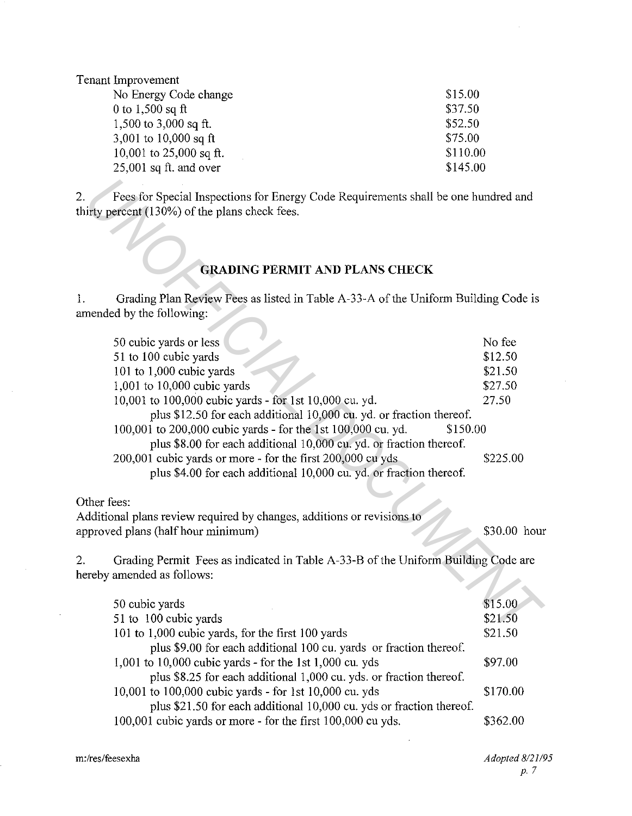Tenant Improvement

| No Energy Code change     | \$15.00  |
|---------------------------|----------|
| 0 to $1,500$ sq ft        | \$37.50  |
| 1,500 to 3,000 sq ft.     | \$52.50  |
| 3,001 to 10,000 sq ft     | \$75.00  |
| 10,001 to $25,000$ sq ft. | \$110.00 |
| $25,001$ sq ft. and over  | \$145.00 |
|                           |          |

# **GRADING PERMIT AND PLANS CHECK**

| Fees for Special Inspections for Energy Code Requirements shall be one hundred and<br>irty percent (130%) of the plans check fees. |              |
|------------------------------------------------------------------------------------------------------------------------------------|--------------|
| <b>GRADING PERMIT AND PLANS CHECK</b>                                                                                              |              |
| Grading Plan Review Fees as listed in Table A-33-A of the Uniform Building Code is<br>mended by the following:                     |              |
| 50 cubic yards or less                                                                                                             | No fee       |
| 51 to 100 cubic yards                                                                                                              | \$12.50      |
| 101 to $1,000$ cubic yards                                                                                                         | \$21.50      |
| 1,001 to 10,000 cubic yards                                                                                                        | \$27.50      |
| 10,001 to 100,000 cubic yards - for 1st 10,000 cu. yd.                                                                             | 27.50        |
| plus \$12.50 for each additional 10,000 cu. yd. or fraction thereof.                                                               |              |
| 100,001 to 200,000 cubic yards - for the 1st 100,000 cu. yd.<br>\$150.00                                                           |              |
| plus \$8.00 for each additional 10,000 cu. yd. or fraction thereof.                                                                |              |
| 200,001 cubic yards or more - for the first 200,000 cu yds                                                                         | \$225.00     |
| plus \$4.00 for each additional 10,000 cu. yd. or fraction thereof.                                                                |              |
| ther fees:                                                                                                                         |              |
| dditional plans review required by changes, additions or revisions to<br>proved plans (half hour minimum)                          | \$30.00 hour |
| Grading Permit Fees as indicated in Table A-33-B of the Uniform Building Code are<br>ereby amended as follows:                     |              |
| 50 cubic yards                                                                                                                     | \$15.00      |
| 51 to 100 cubic yards                                                                                                              | \$21.50      |
| 101 to 1.000 cubic vards, for the first 100 vards                                                                                  | \$21.50      |

# Other fees:

| 50 cubic yards                                                       | \$15.00  |
|----------------------------------------------------------------------|----------|
| 51 to 100 cubic yards                                                | \$21.50  |
| 101 to 1,000 cubic yards, for the first 100 yards                    | \$21.50  |
| plus \$9.00 for each additional 100 cu. yards or fraction thereof.   |          |
| 1,001 to 10,000 cubic yards - for the 1st 1,000 cu. yds              | \$97.00  |
| plus \$8.25 for each additional 1,000 cu. yds. or fraction thereof.  |          |
| 10,001 to 100,000 cubic yards - for 1st 10,000 cu. yds               | \$170.00 |
| plus \$21.50 for each additional 10,000 cu. yds or fraction thereof. |          |
| 100,001 cubic yards or more - for the first 100,000 cu yds.          | \$362.00 |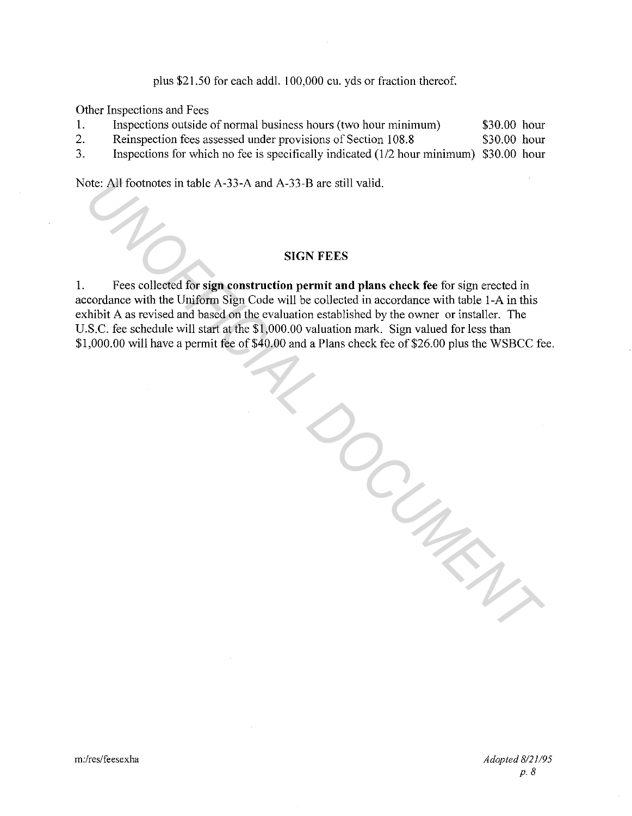plus \$21.50 for each addl. 100,000 cu. yds or fraction thereof.

Other Inspections and Fees

| Ι. | Inspections outside of normal business hours (two hour minimum)                        | \$30.00 hour |  |
|----|----------------------------------------------------------------------------------------|--------------|--|
| 2. | Reinspection fees assessed under provisions of Section 108.8                           | \$30.00 hour |  |
| 3. | Inspections for which no fee is specifically indicated (1/2 hour minimum) \$30.00 hour |              |  |

Note: All footnotes in table A-33-A and A-33-B are still valid.

# **SIGN FEES**

I. Fees collected for **sign construction permit and plans check fee** for sign erected in accordance with the Uniform Sign Code will be collected in accordance with table 1-A in this exhibit A as revised and based on the evaluation established by the owner or installer. The U.S.C. fee schedule will start at the \$1,000.00 valuation mark. Sign valued for less than \$1,000.00 will have a permit fee of \$40.00 and a Plans check fee of \$26.00 plus the WSBCC fee.

*UNOFFICIAL DOCUMENT*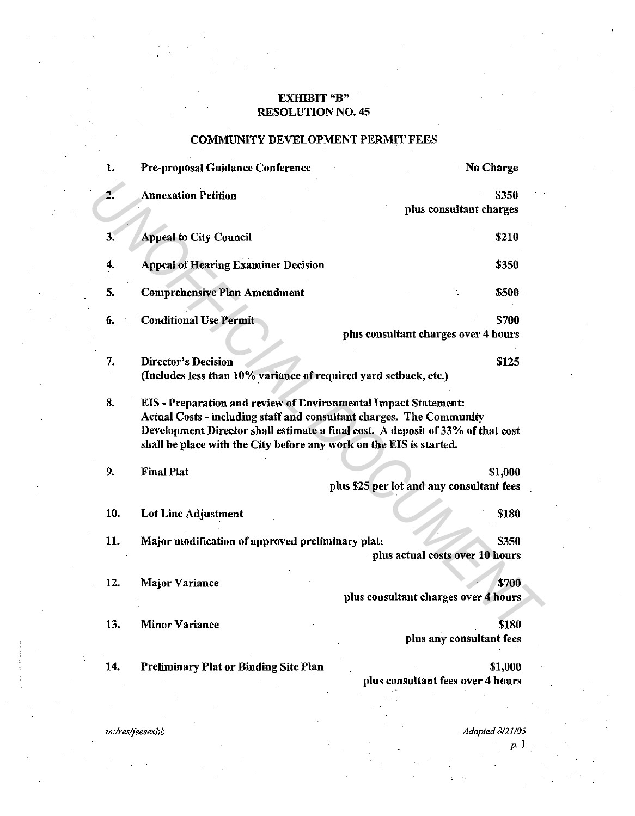# EXHIBIT "B" RESOLUTION NO. 45

# COMMUNITY DEVELOPMENT PERMIT FEES

| 1.  | Pre-proposal Guidance Conference                                                                                                                                                                                      | No Charge                                                                       |
|-----|-----------------------------------------------------------------------------------------------------------------------------------------------------------------------------------------------------------------------|---------------------------------------------------------------------------------|
| 2.  | <b>Annexation Petition</b>                                                                                                                                                                                            | \$350<br>plus consultant charges                                                |
| 3.  | <b>Appeal to City Council</b>                                                                                                                                                                                         | \$210                                                                           |
| 4.  | <b>Appeal of Hearing Examiner Decision</b>                                                                                                                                                                            | \$350                                                                           |
| 5.  | <b>Comprehensive Plan Amendment</b>                                                                                                                                                                                   | \$500                                                                           |
| 6.  | <b>Conditional Use Permit</b>                                                                                                                                                                                         | \$700<br>plus consultant charges over 4 hours                                   |
| 7.  | <b>Director's Decision</b><br>(Includes less than 10% variance of required yard setback, etc.)                                                                                                                        | \$125                                                                           |
| 8.  | <b>EIS</b> - Preparation and review of Environmental Impact Statement:<br>Actual Costs - including staff and consultant charges. The Community<br>shall be place with the City before any work on the EIS is started. | Development Director shall estimate a final cost. A deposit of 33% of that cost |
| 9.  | <b>Final Plat</b>                                                                                                                                                                                                     | \$1,000<br>plus \$25 per lot and any consultant fees                            |
| 10. | Lot Line Adjustment                                                                                                                                                                                                   | \$180                                                                           |
| 11. | Major modification of approved preliminary plat:                                                                                                                                                                      | \$350<br>plus actual costs over 10 hours                                        |
| 12. | <b>Major Variance</b>                                                                                                                                                                                                 | \$700<br>plus consultant charges over 4 hours                                   |
| 13. | <b>Minor Variance</b>                                                                                                                                                                                                 | \$180<br>plus any consultant fees                                               |
| 14. | Preliminary Plat or Binding Site Plan                                                                                                                                                                                 | \$1,000<br>plus consultant fees over 4 hours                                    |
|     |                                                                                                                                                                                                                       |                                                                                 |

*m:!res!feesexhb* 

. *Adopted 8121195 p.* 1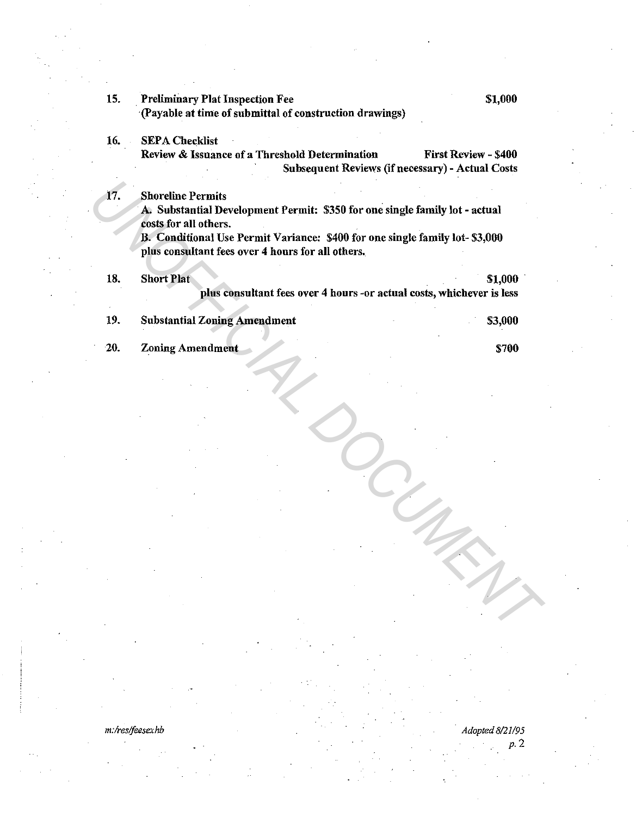| 15. | <b>Preliminary Plat Inspection Fee</b>                                                               | \$1,000                                                                         |
|-----|------------------------------------------------------------------------------------------------------|---------------------------------------------------------------------------------|
|     | (Payable at time of submittal of construction drawings)                                              |                                                                                 |
| 16. | <b>SEPA Checklist</b>                                                                                |                                                                                 |
|     | Review & Issuance of a Threshold Determination                                                       | First Review - \$400<br><b>Subsequent Reviews (if necessary) - Actual Costs</b> |
| 17. | <b>Shoreline Permits</b>                                                                             |                                                                                 |
|     | A. Substantial Development Permit: \$350 for one single family lot - actual                          |                                                                                 |
|     | costs for all others.<br>B. Conditional Use Permit Variance: \$400 for one single family lot-\$3,000 |                                                                                 |
|     | plus consultant fees over 4 hours for all others.                                                    |                                                                                 |
| 18. | <b>Short Plat</b>                                                                                    | \$1,000                                                                         |
|     | plus consultant fees over 4 hours -or actual costs, whichever is less                                |                                                                                 |
| 19. | <b>Substantial Zoning Amendment</b>                                                                  | \$3,000                                                                         |
|     |                                                                                                      |                                                                                 |
| 20. | <b>Zoning Amendment</b>                                                                              | \$700                                                                           |
|     |                                                                                                      |                                                                                 |
|     |                                                                                                      |                                                                                 |
|     |                                                                                                      |                                                                                 |
|     |                                                                                                      |                                                                                 |
|     |                                                                                                      |                                                                                 |
|     |                                                                                                      |                                                                                 |
|     |                                                                                                      |                                                                                 |
|     |                                                                                                      |                                                                                 |
|     |                                                                                                      |                                                                                 |
|     |                                                                                                      |                                                                                 |
|     |                                                                                                      |                                                                                 |
|     |                                                                                                      |                                                                                 |
|     |                                                                                                      |                                                                                 |
|     |                                                                                                      |                                                                                 |
|     |                                                                                                      |                                                                                 |

*m:lresffeesexhb* · *Adopted 8121195* 

*p.2*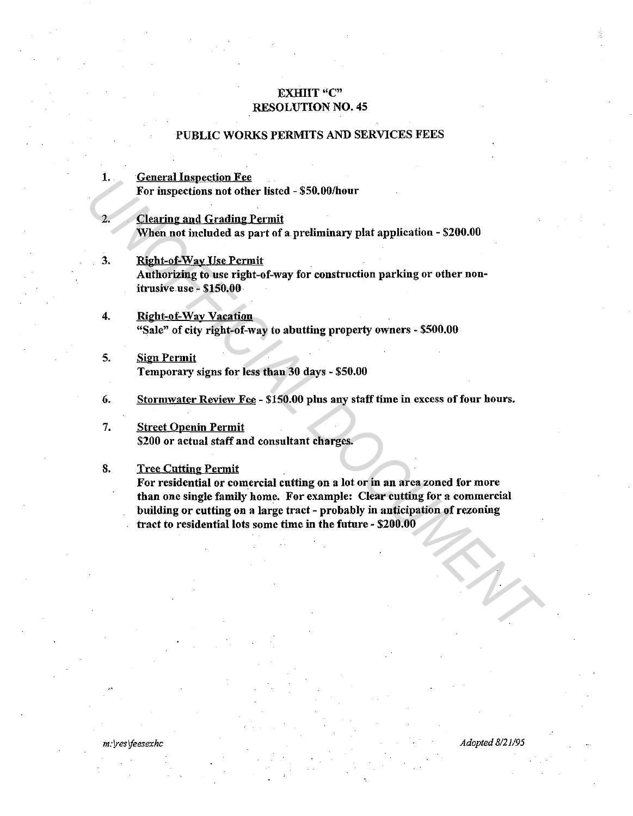# EXHIIT "C" RESOLUTION NO. 45

# PUBLIC WORKS PERMITS AND SERVICES FEES

# 1. General Inspection Fee For inspections not other listed - \$50.00/honr

- **Clearing and Grading Permit** When not included as part of a preliminary plat application - \$200.00
- 3. Right-of-Way Use Permit Authorizing to use right-of-way for construction parking or other nouitrusive~use - \$150.00
- 4. Right-of-Wav Vacation "Sale" of city right-of-way to abutting property owners - \$500.00
- 5. Sign Permit Temporary signs for less than 30 days - \$50.00
- 6. Stormwater Review Fee \$150.00 plus any staff time in excess of four hours.
- 7. Street Openin Permit \$200 or actual staff and consultant charges.

# 8. Tree Cutting Permit

For residential or comercial cutting on a lot or in an area zoned for more than one single family home. For example: Clear cutting for a commercial building or cutting on a large tract - probably in anticipation of rezoning tract to residential lots some time in the future - \$200.00 **EXAMPLE INSTEAD THE SET AND THE SET AND ASSUMED ASSUMED AND THE SET ON THE SET ON THE UNIT When not included as part of a preliminary plat application - \$200.00<br>
3. Bight-of-Nigy Lise Permit<br>
Authorizing to use right-of-N** 

*m:!reslfeesexhc Adopted 8121195*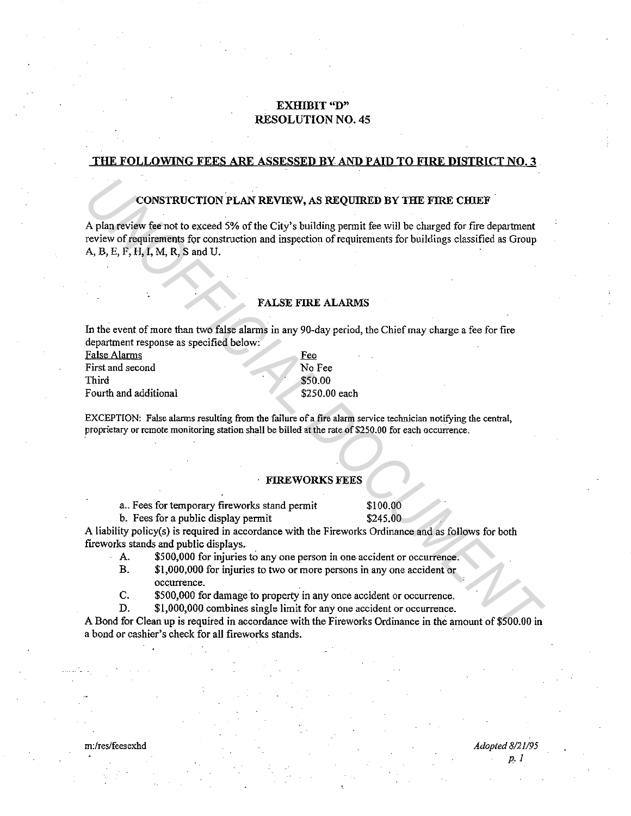# EXHIBIT "D" RESOLUTION NO. 45

### THE FOLLOWING FEES ARE ASSESSED BY AND PAID TO FIRE DISTRICT NO. 3

### CONSTRUCTION PLAN REVIEW, AS REQUIRED BY THE FIRE CHIEF

A plan review fee not to exceed 5% of the City's building permit fee will be charged for fire department review of requirements for construction and inspection of requirements for buildings classified as Group A, B, E, F, H, I, M, R, Sand U. **CONSTRUCTION PLAN REVIEW, AS REQUIRED BY THE FIRE CHEEF**<br> **A** plan review for not to exceed 5% of the City's building permit fee will be charged for fire department<br>
review of requirements for construction and inspection

### FALSE FIRE ALARMS

In the event of more than two false alarms in any 90-day period, the Chief may charge a fee for fire department response as specified below:

> **Fee** No Fee \$50.00 \$250.00 each

| <b>False Alarms</b>   |  |
|-----------------------|--|
| First and second      |  |
| Third                 |  |
| Fourth and additional |  |

EXCEPTION: False alarms resulting from the failure of a fire alarm service technician notifying the central, proprietary or remote monitoring station shall be billed at the rate of \$250.00 for each occurrence.

### FIREWORKS FEES

a.. Fees for temporary fireworks stand permit \$100.00

b. Fees for a public display permit \$245.00

p. I

A liability policy(s) is required in accordance with the Fireworks Ordinance and as follows for both fireworks stands and public displays.

- A. \$500,000 for injuries to any one person in one accident or occurrence.
- B. \$1,000,000 for injuries to two or more persons in any one accident or **occurrence.**
- C. \$500,000 for damage to property in any once accident or occurrence.
- D. \$1,000,000 combines single limit for any one accident or occurrence.

A Bond for Clean up is required in accordance with the Fireworks Ordinance in the amount of \$500.00 in a bond or cashier's check for all fireworks stands.

m:/res/feesexhd *Adopted 8/21195*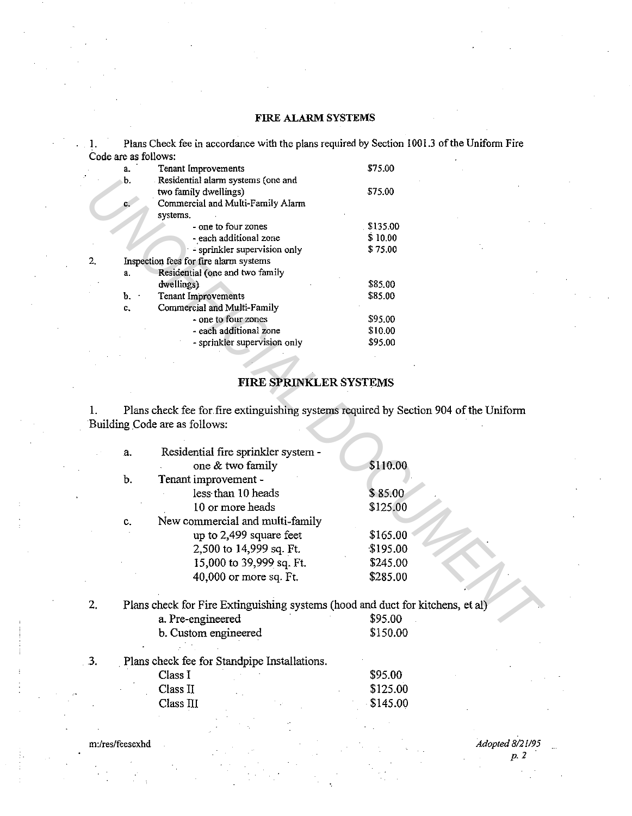# FIRE ALARM SYSTEMS

I. Plans Check fee in accordance with the plans required by Section 1001.3 of the Unifonn Fire Code are as follows:

|    | a. | Tenant Improvements                    | \$75.00      |
|----|----|----------------------------------------|--------------|
|    | b. | Residential alarm systems (one and     |              |
|    |    | two family dwellings)                  | \$75.00      |
|    | C. | Commercial and Multi-Family Alarm      |              |
|    |    | systems.                               |              |
|    |    | - one to four zones                    | $.$ \$135.00 |
|    |    | - each additional zone                 | \$10.00      |
|    |    | - sprinkler supervision only           | \$75.00      |
| 2. |    | Inspection fees for fire alarm systems |              |
|    | a. | Residential (one and two family        |              |
|    |    | dwellings)                             | \$85.00      |
|    | Ъ. | Tenant Improvements                    | \$85.00      |
|    | c. | Commercial and Multi-Family            |              |
|    |    | - one to four zones                    | \$95.00      |
|    |    | - each additional zone                 | \$10.00      |
|    |    | - sprinkler supervision only           | \$95.00      |
|    |    |                                        |              |

# FIRE SPRINKLER SYSTEMS

|    | b. | Residential alarm systems (one and                                                                                     |            |
|----|----|------------------------------------------------------------------------------------------------------------------------|------------|
|    |    | two family dwellings)                                                                                                  | \$75.00    |
|    |    | Commercial and Multi-Family Alarm                                                                                      |            |
|    |    | systems.                                                                                                               |            |
|    |    | - one to four zones                                                                                                    | . \$135.00 |
|    |    | - each additional zone                                                                                                 | \$10.00    |
|    |    | - sprinkler supervision only                                                                                           | \$75.00    |
| 2. |    | Inspection fees for fire alarm systems                                                                                 |            |
|    | a. | Residential (one and two family                                                                                        |            |
|    |    | dwellings)                                                                                                             | \$85.00    |
|    | b. | <b>Tenant Improvements</b>                                                                                             | \$85.00    |
|    | c. | Commercial and Multi-Family                                                                                            |            |
|    |    | - one to four zones                                                                                                    | \$95.00    |
|    |    | - each additional zone                                                                                                 | \$10.00    |
|    |    | - sprinkler supervision only                                                                                           | \$95.00    |
|    |    |                                                                                                                        |            |
|    |    | <b>FIRE SPRINKLER SYSTEMS</b>                                                                                          |            |
|    |    |                                                                                                                        |            |
| 1. |    | Plans check fee for fire extinguishing systems required by Section 904 of the Uniform<br>Building Code are as follows: |            |
|    |    |                                                                                                                        |            |
|    | a. | Residential fire sprinkler system -                                                                                    |            |
|    |    | one & two family                                                                                                       | \$110.00   |
|    | b. | Tenant improvement -                                                                                                   |            |
|    |    | less than 10 heads                                                                                                     | \$85.00    |
|    |    | 10 or more heads                                                                                                       | \$125.00   |
|    | c. | New commercial and multi-family                                                                                        |            |
|    |    |                                                                                                                        | \$165.00   |
|    |    | up to 2,499 square feet                                                                                                |            |
|    |    | 2,500 to 14,999 sq. Ft.                                                                                                | \$195.00   |
|    |    | 15,000 to 39,999 sq. Ft.                                                                                               | \$245.00   |
|    |    | 40,000 or more sq. Ft.                                                                                                 | \$285.00   |
| 2. |    | Plans check for Fire Extinguishing systems (hood and duct for kitchens, et al)                                         |            |
|    |    | a. Pre-engineered                                                                                                      | \$95.00    |
|    |    |                                                                                                                        |            |
|    |    | b. Custom engineered                                                                                                   | \$150.00   |
| 3. |    | Plans check fee for Standpipe Installations.                                                                           |            |
|    |    | Class I                                                                                                                | \$95.00    |
|    |    | Class II                                                                                                               | \$125.00   |
|    |    | Class III                                                                                                              | \$145.00   |
|    |    |                                                                                                                        |            |

m:/res/feesexhd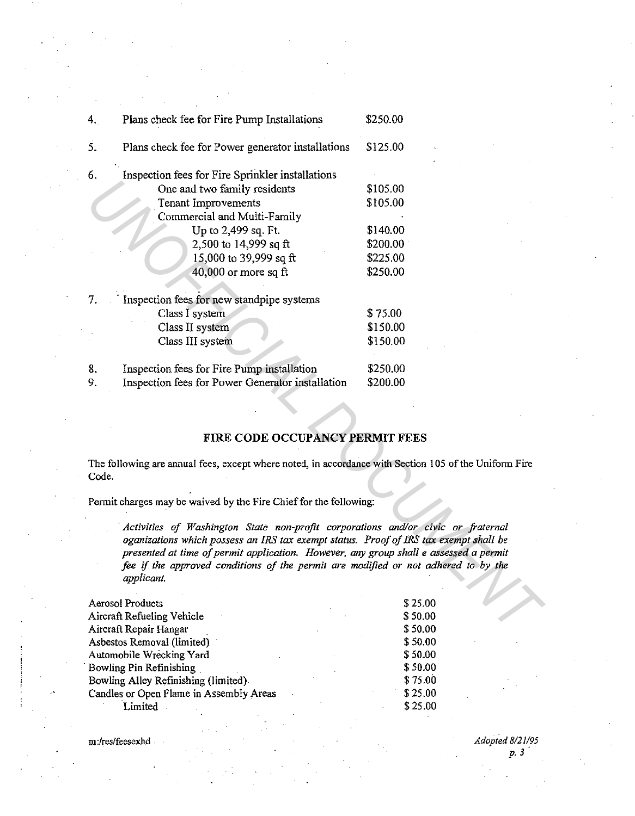| Plans check fee for Power generator installations<br>5.<br>\$125.00<br>6.<br>Inspection fees for Fire Sprinkler installations<br>One and two family residents<br>\$105.00<br>\$105.00<br><b>Tenant Improvements</b><br>Commercial and Multi-Family<br>Up to 2,499 sq. Ft.<br>\$140.00<br>2,500 to 14,999 sq ft<br>\$200.00                                             |  |
|------------------------------------------------------------------------------------------------------------------------------------------------------------------------------------------------------------------------------------------------------------------------------------------------------------------------------------------------------------------------|--|
|                                                                                                                                                                                                                                                                                                                                                                        |  |
|                                                                                                                                                                                                                                                                                                                                                                        |  |
|                                                                                                                                                                                                                                                                                                                                                                        |  |
|                                                                                                                                                                                                                                                                                                                                                                        |  |
|                                                                                                                                                                                                                                                                                                                                                                        |  |
|                                                                                                                                                                                                                                                                                                                                                                        |  |
|                                                                                                                                                                                                                                                                                                                                                                        |  |
| 15,000 to 39,999 sq ft<br>\$225.00                                                                                                                                                                                                                                                                                                                                     |  |
| 40,000 or more sq ft<br>\$250.00                                                                                                                                                                                                                                                                                                                                       |  |
| 7.<br>Inspection fees for new standpipe systems                                                                                                                                                                                                                                                                                                                        |  |
| Class I system<br>\$75.00                                                                                                                                                                                                                                                                                                                                              |  |
| \$150.00<br>Class II system                                                                                                                                                                                                                                                                                                                                            |  |
| Class III system<br>\$150.00                                                                                                                                                                                                                                                                                                                                           |  |
| Inspection fees for Fire Pump installation<br>\$250.00<br>8.                                                                                                                                                                                                                                                                                                           |  |
| Inspection fees for Power Generator installation<br>\$200.00<br>9.                                                                                                                                                                                                                                                                                                     |  |
|                                                                                                                                                                                                                                                                                                                                                                        |  |
| FIRE CODE OCCUPANCY PERMIT FEES                                                                                                                                                                                                                                                                                                                                        |  |
| The following are annual fees, except where noted, in accordance with Section 105 of the Uniform Fire<br>Code.                                                                                                                                                                                                                                                         |  |
| Permit charges may be waived by the Fire Chief for the following:                                                                                                                                                                                                                                                                                                      |  |
| Activities of Washington State non-profit corporations and/or civic or fraternal<br>oganizations which possess an IRS tax exempt status. Proof of IRS tax exempt shall be<br>presented at time of permit application. However, any group shall e assessed a permit<br>fee if the approved conditions of the permit are modified or not adhered to by the<br>applicant. |  |
| \$25.00<br><b>Aerosol Products</b>                                                                                                                                                                                                                                                                                                                                     |  |
| Aircraft Refueling Vehicle<br>\$50.00                                                                                                                                                                                                                                                                                                                                  |  |
| \$50.00<br>Aircraft Repair Hangar                                                                                                                                                                                                                                                                                                                                      |  |

# FIRE CODE OCCUPANCY PERMIT FEES

| <b>Aerosol Products</b>                 | \$25.00 |
|-----------------------------------------|---------|
| Aircraft Refueling Vehicle              | \$50.00 |
| Aircraft Repair Hangar                  | \$50.00 |
| Asbestos Removal (limited)              | \$50.00 |
| Automobile Wrecking Yard                | \$50.00 |
| Bowling Pin Refinishing                 | \$50.00 |
| Bowling Alley Refinishing (limited).    | \$75.00 |
| Candles or Open Flame in Assembly Areas | \$25.00 |
| .imited                                 | \$25.00 |

m:/res/feesexhd .

*Adopted 8121195*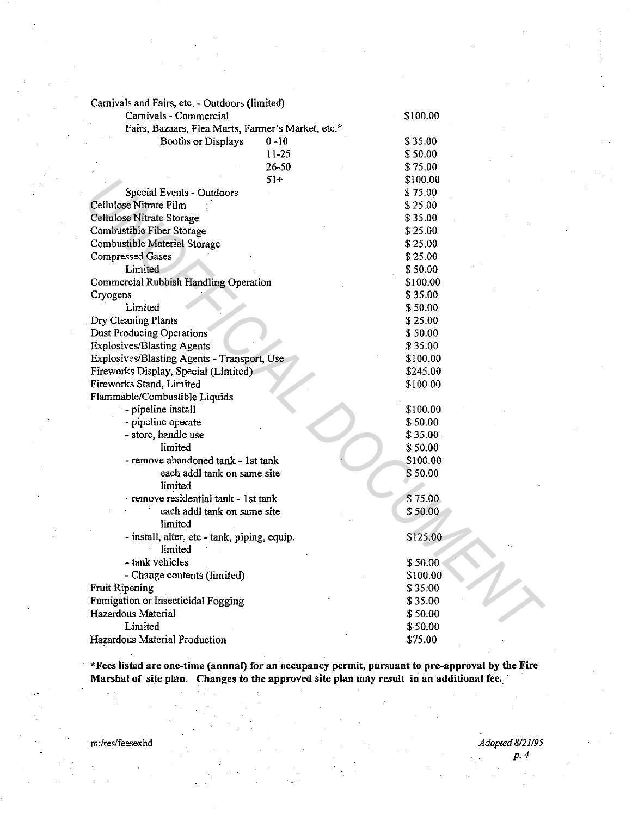| Carnivals and Fairs, etc. - Outdoors (limited)     |          |
|----------------------------------------------------|----------|
| Carnivals - Commercial                             | \$100.00 |
| Fairs, Bazaars, Flea Marts, Farmer's Market, etc.* |          |
| $0 - 10$<br>Booths or Displays                     | \$35.00  |
| $11 - 25$                                          | \$50.00  |
| 26-50                                              | \$75.00  |
| $51+$                                              | \$100.00 |
| Special Events - Outdoors                          | \$75.00  |
| Cellulose Nitrate Film                             | \$25.00  |
| Cellulose Nitrate Storage                          | \$35.00  |
| Combustible Fiber Storage                          | \$25.00  |
| Combustible Material Storage                       | \$25.00  |
| <b>Compressed Gases</b>                            | \$25.00  |
| Limited                                            | \$50.00  |
| Commercial Rubbish Handling Operation              | \$100.00 |
| Cryogens                                           | \$35.00  |
| Limited                                            | \$50.00  |
| Dry Cleaning Plants                                | \$25.00  |
| Dust Producing Operations                          | \$50.00  |
| <b>Explosives/Blasting Agents</b>                  | \$35.00  |
| Explosives/Blasting Agents - Transport, Use        | \$100.00 |
| Fireworks Display, Special (Limited)               | \$245.00 |
| Fireworks Stand, Limited                           | \$100.00 |
| Flammable/Combustible Liquids                      |          |
| - pipeline install                                 | \$100.00 |
| - pipeline operate                                 | \$50.00  |
| - store, handle use                                | \$35.00. |
| limited                                            | \$50.00  |
| - remove abandoned tank - 1st tank                 | \$100.00 |
| each addl tank on same site                        | \$50.00  |
| limited                                            |          |
| - remove residential tank - 1st tank               | \$75.00  |
| each addl tank on same site                        | \$50.00  |
| limited                                            |          |
| - install, alter, etc - tank, piping, equip.       | \$125.00 |
| limited                                            |          |
| - tank vehicles                                    | \$50.00  |
| - Change contents (limited)                        | \$100.00 |
| <b>Fruit Ripening</b>                              | \$35:00  |
| Fumigation or Insecticidal Fogging                 | \$35.00  |
| Hazardous Material                                 | \$50.00  |
| Limited                                            | \$50.00  |
| Hazardous Material Production                      | \$75.00  |

\*Fees listed are one-time (annual) for an.occupancy permit, pursuant to pre-approval by the Fire Marshal of site plan. Changes to the approved site plan may result in an additional fee. ·

 $\mathcal{P}$ 

m:/res/feesexhd *Adopted 8121195 p. 4*